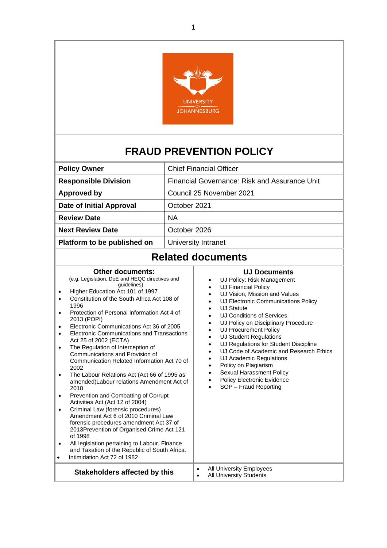

# **FRAUD PREVENTION POLICY**

| <b>Chief Financial Officer</b>                |
|-----------------------------------------------|
| Financial Governance: Risk and Assurance Unit |
| Council 25 November 2021                      |
| October 2021                                  |
| <b>NA</b>                                     |
| October 2026                                  |
| University Intranet                           |
|                                               |

## **Related documents**

#### **Other documents:** (e.g. Legislation, DoE and HEQC directives and guidelines) • Higher Education Act 101 of 1997 • Constitution of the South Africa Act 108 of 1996 • Protection of Personal Information Act 4 of 2013 (POPI) • Electronic Communications Act 36 of 2005 • Electronic Communications and Transactions Act 25 of 2002 (ECTA) • The Regulation of Interception of Communications and Provision of Communication Related Information Act 70 of 2002 • The Labour Relations Act (Act 66 of 1995 as amended)Labour relations Amendment Act of 2018 • Prevention and Combatting of Corrupt Activities Act (Act 12 of 2004) • Criminal Law (forensic procedures) Amendment Act 6 of 2010 Criminal Law forensic procedures amendment Act 37 of 2013Prevention of Organised Crime Act 121 of 1998 All legislation pertaining to Labour, Finance and Taxation of the Republic of South Africa. • Intimidation Act 72 of 1982 **Stakeholders affected by this expanding Markon Stakeholders affected by this and Markon All University Students**

#### **UJ Documents**

- UJ Policy: Risk Management
- UJ Financial Policy
- UJ Vision, Mission and Values
- UJ Electronic Communications Policy
- UJ Statute
- UJ Conditions of Services
- UJ Policy on Disciplinary Procedure
- UJ Procurement Policy
- UJ Student Regulations
- UJ Regulations for Student Discipline
- UJ Code of Academic and Research Ethics
- UJ Academic Regulations
- Policy on Plagiarism

**All University Students** 

- Sexual Harassment Policy
- Policy Electronic Evidence
- SOP Fraud Reporting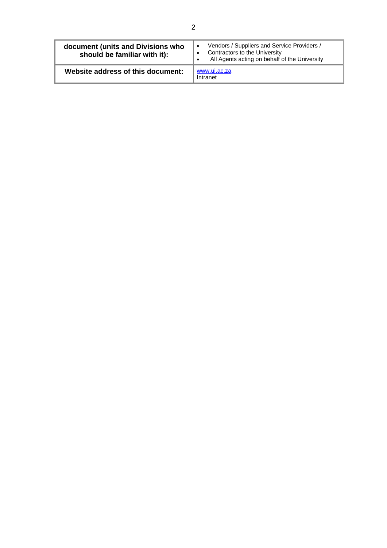| document (units and Divisions who<br>should be familiar with it): | Vendors / Suppliers and Service Providers /<br>Contractors to the University<br>All Agents acting on behalf of the University |
|-------------------------------------------------------------------|-------------------------------------------------------------------------------------------------------------------------------|
| Website address of this document:                                 | www.uj.ac.za<br>Intranet                                                                                                      |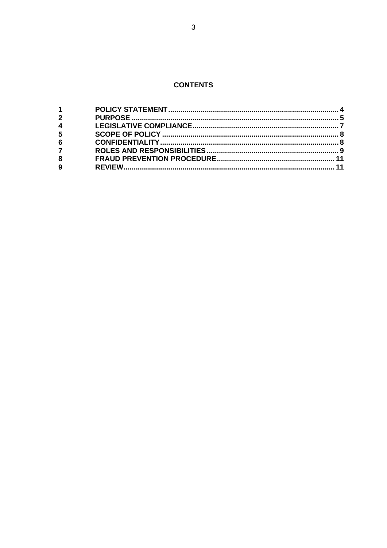### **CONTENTS**

| $1 \quad \blacksquare$ |  |
|------------------------|--|
| $2^{\circ}$            |  |
| $\overline{4}$         |  |
| 5 <sup>5</sup>         |  |
| $6\phantom{a}$         |  |
| $7^{\circ}$            |  |
| 8                      |  |
| $\overline{9}$         |  |
|                        |  |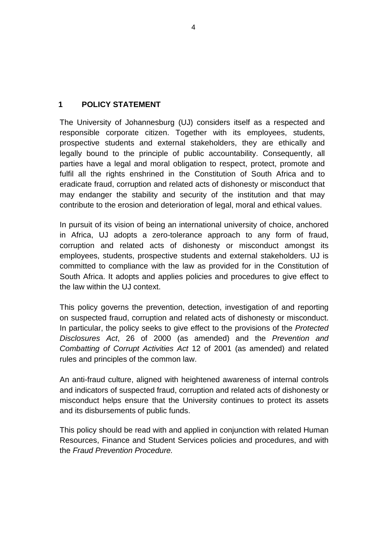#### <span id="page-3-0"></span>**1 POLICY STATEMENT**

The University of Johannesburg (UJ) considers itself as a respected and responsible corporate citizen. Together with its employees, students, prospective students and external stakeholders, they are ethically and legally bound to the principle of public accountability. Consequently, all parties have a legal and moral obligation to respect, protect, promote and fulfil all the rights enshrined in the Constitution of South Africa and to eradicate fraud, corruption and related acts of dishonesty or misconduct that may endanger the stability and security of the institution and that may contribute to the erosion and deterioration of legal, moral and ethical values.

In pursuit of its vision of being an international university of choice, anchored in Africa, UJ adopts a zero-tolerance approach to any form of fraud, corruption and related acts of dishonesty or misconduct amongst its employees, students, prospective students and external stakeholders. UJ is committed to compliance with the law as provided for in the Constitution of South Africa. It adopts and applies policies and procedures to give effect to the law within the UJ context.

This policy governs the prevention, detection, investigation of and reporting on suspected fraud, corruption and related acts of dishonesty or misconduct. In particular, the policy seeks to give effect to the provisions of the *Protected Disclosures Act*, 26 of 2000 (as amended) and the *Prevention and Combatting of Corrupt Activities Act* 12 of 2001 (as amended) and related rules and principles of the common law.

An anti-fraud culture, aligned with heightened awareness of internal controls and indicators of suspected fraud, corruption and related acts of dishonesty or misconduct helps ensure that the University continues to protect its assets and its disbursements of public funds.

This policy should be read with and applied in conjunction with related Human Resources, Finance and Student Services policies and procedures, and with the *Fraud Prevention Procedure.*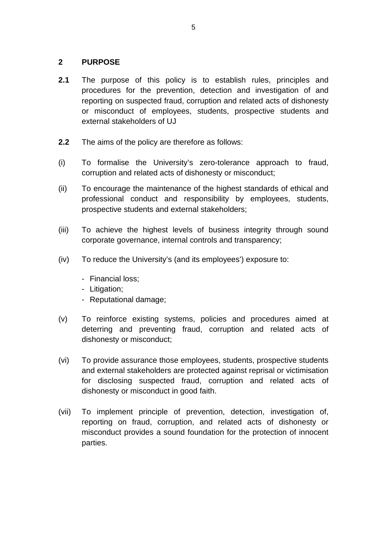#### <span id="page-4-0"></span>**2 PURPOSE**

- **2.1** The purpose of this policy is to establish rules, principles and procedures for the prevention, detection and investigation of and reporting on suspected fraud, corruption and related acts of dishonesty or misconduct of employees, students, prospective students and external stakeholders of UJ
- **2.2** The aims of the policy are therefore as follows:
- (i) To formalise the University's zero-tolerance approach to fraud, corruption and related acts of dishonesty or misconduct;
- (ii) To encourage the maintenance of the highest standards of ethical and professional conduct and responsibility by employees, students, prospective students and external stakeholders;
- (iii) To achieve the highest levels of business integrity through sound corporate governance, internal controls and transparency;
- (iv) To reduce the University's (and its employees') exposure to:
	- Financial loss;
	- Litigation;
	- Reputational damage;
- (v) To reinforce existing systems, policies and procedures aimed at deterring and preventing fraud, corruption and related acts of dishonesty or misconduct;
- (vi) To provide assurance those employees, students, prospective students and external stakeholders are protected against reprisal or victimisation for disclosing suspected fraud, corruption and related acts of dishonesty or misconduct in good faith.
- (vii) To implement principle of prevention, detection, investigation of, reporting on fraud, corruption, and related acts of dishonesty or misconduct provides a sound foundation for the protection of innocent parties.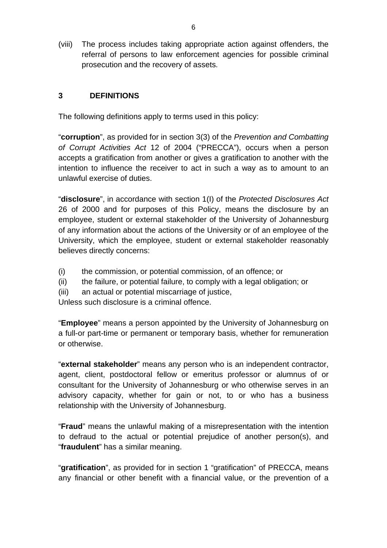(viii) The process includes taking appropriate action against offenders, the referral of persons to law enforcement agencies for possible criminal prosecution and the recovery of assets.

#### **3 DEFINITIONS**

The following definitions apply to terms used in this policy:

"**corruption**", as provided for in section 3(3) of the *Prevention and Combatting of Corrupt Activities Act* 12 of 2004 ("PRECCA"), occurs when a person accepts a gratification from another or gives a gratification to another with the intention to influence the receiver to act in such a way as to amount to an unlawful exercise of duties.

"**disclosure**", in accordance with section 1(I) of the *Protected Disclosures Act* 26 of 2000 and for purposes of this Policy, means the disclosure by an employee, student or external stakeholder of the University of Johannesburg of any information about the actions of the University or of an employee of the University, which the employee, student or external stakeholder reasonably believes directly concerns:

- (i) the commission, or potential commission, of an offence; or
- (ii) the failure, or potential failure, to comply with a legal obligation; or
- (iii) an actual or potential miscarriage of justice,

Unless such disclosure is a criminal offence.

"**Employee**" means a person appointed by the University of Johannesburg on a full-or part-time or permanent or temporary basis, whether for remuneration or otherwise.

"**external stakeholder**" means any person who is an independent contractor, agent, client, postdoctoral fellow or emeritus professor or alumnus of or consultant for the University of Johannesburg or who otherwise serves in an advisory capacity, whether for gain or not, to or who has a business relationship with the University of Johannesburg.

"**Fraud**" means the unlawful making of a misrepresentation with the intention to defraud to the actual or potential prejudice of another person(s), and "**fraudulent**" has a similar meaning.

"**gratification**", as provided for in section 1 "gratification" of PRECCA, means any financial or other benefit with a financial value, or the prevention of a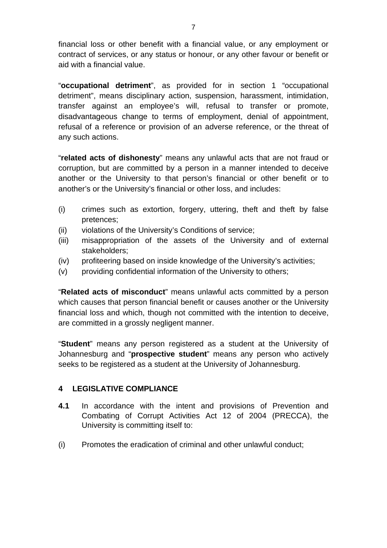financial loss or other benefit with a financial value, or any employment or contract of services, or any status or honour, or any other favour or benefit or aid with a financial value.

"**occupational detriment**", as provided for in section 1 "occupational detriment", means disciplinary action, suspension, harassment, intimidation, transfer against an employee's will, refusal to transfer or promote, disadvantageous change to terms of employment, denial of appointment, refusal of a reference or provision of an adverse reference, or the threat of any such actions.

"**related acts of dishonesty**" means any unlawful acts that are not fraud or corruption, but are committed by a person in a manner intended to deceive another or the University to that person's financial or other benefit or to another's or the University's financial or other loss, and includes:

- (i) crimes such as extortion, forgery, uttering, theft and theft by false pretences;
- (ii) violations of the University's Conditions of service;
- (iii) misappropriation of the assets of the University and of external stakeholders;
- (iv) profiteering based on inside knowledge of the University's activities;
- (v) providing confidential information of the University to others;

"**Related acts of misconduct**" means unlawful acts committed by a person which causes that person financial benefit or causes another or the University financial loss and which, though not committed with the intention to deceive, are committed in a grossly negligent manner.

"**Student**" means any person registered as a student at the University of Johannesburg and "**prospective student**" means any person who actively seeks to be registered as a student at the University of Johannesburg.

#### <span id="page-6-0"></span>**4 LEGISLATIVE COMPLIANCE**

- **4.1** In accordance with the intent and provisions of Prevention and Combating of Corrupt Activities Act 12 of 2004 (PRECCA), the University is committing itself to:
- (i) Promotes the eradication of criminal and other unlawful conduct;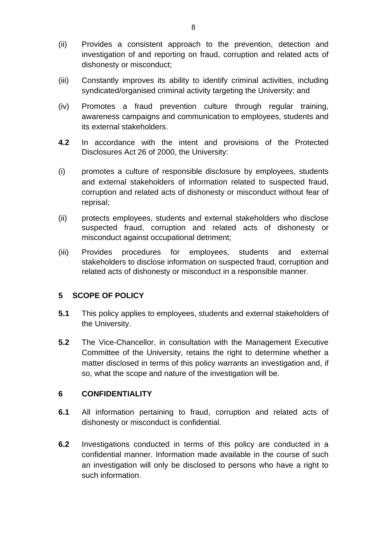- (ii) Provides a consistent approach to the prevention, detection and investigation of and reporting on fraud, corruption and related acts of dishonesty or misconduct;
- (iii) Constantly improves its ability to identify criminal activities, including syndicated/organised criminal activity targeting the University; and
- (iv) Promotes a fraud prevention culture through regular training, awareness campaigns and communication to employees, students and its external stakeholders.
- **4.2** In accordance with the intent and provisions of the Protected Disclosures Act 26 of 2000, the University:
- (i) promotes a culture of responsible disclosure by employees, students and external stakeholders of information related to suspected fraud, corruption and related acts of dishonesty or misconduct without fear of reprisal;
- (ii) protects employees, students and external stakeholders who disclose suspected fraud, corruption and related acts of dishonesty or misconduct against occupational detriment;
- (iii) Provides procedures for employees, students and external stakeholders to disclose information on suspected fraud, corruption and related acts of dishonesty or misconduct in a responsible manner.

#### <span id="page-7-0"></span>**5 SCOPE OF POLICY**

- **5.1** This policy applies to employees, students and external stakeholders of the University.
- **5.2** The Vice-Chancellor, in consultation with the Management Executive Committee of the University, retains the right to determine whether a matter disclosed in terms of this policy warrants an investigation and, if so, what the scope and nature of the investigation will be.

#### <span id="page-7-1"></span>**6 CONFIDENTIALITY**

- **6.1** All information pertaining to fraud, corruption and related acts of dishonesty or misconduct is confidential.
- **6.2** Investigations conducted in terms of this policy are conducted in a confidential manner. Information made available in the course of such an investigation will only be disclosed to persons who have a right to such information.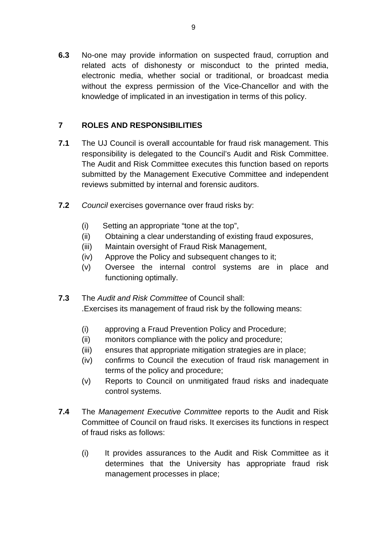**6.3** No-one may provide information on suspected fraud, corruption and related acts of dishonesty or misconduct to the printed media, electronic media, whether social or traditional, or broadcast media without the express permission of the Vice-Chancellor and with the knowledge of implicated in an investigation in terms of this policy.

#### <span id="page-8-0"></span>**7 ROLES AND RESPONSIBILITIES**

- **7.1** The UJ Council is overall accountable for fraud risk management. This responsibility is delegated to the Council's Audit and Risk Committee. The Audit and Risk Committee executes this function based on reports submitted by the Management Executive Committee and independent reviews submitted by internal and forensic auditors.
- **7.2** *Council* exercises governance over fraud risks by:
	- (i) Setting an appropriate "tone at the top",
	- (ii) Obtaining a clear understanding of existing fraud exposures,
	- (iii) Maintain oversight of Fraud Risk Management,
	- (iv) Approve the Policy and subsequent changes to it;
	- (v) Oversee the internal control systems are in place and functioning optimally.
- **7.3** The *Audit and Risk Committee* of Council shall: .Exercises its management of fraud risk by the following means:
	- (i) approving a Fraud Prevention Policy and Procedure;
	- (ii) monitors compliance with the policy and procedure;
	- (iii) ensures that appropriate mitigation strategies are in place;
	- (iv) confirms to Council the execution of fraud risk management in terms of the policy and procedure;
	- (v) Reports to Council on unmitigated fraud risks and inadequate control systems.
- **7.4** The *Management Executive Committee* reports to the Audit and Risk Committee of Council on fraud risks. It exercises its functions in respect of fraud risks as follows:
	- (i) It provides assurances to the Audit and Risk Committee as it determines that the University has appropriate fraud risk management processes in place;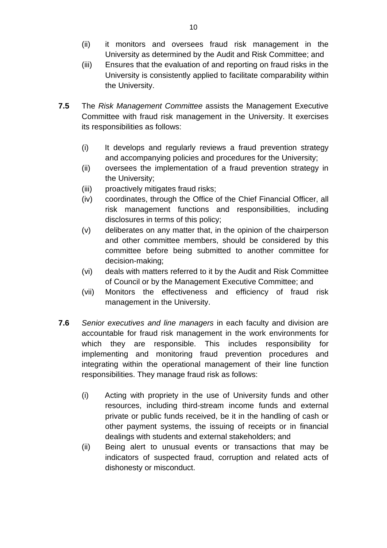- (ii) it monitors and oversees fraud risk management in the University as determined by the Audit and Risk Committee; and
- (iii) Ensures that the evaluation of and reporting on fraud risks in the University is consistently applied to facilitate comparability within the University.
- **7.5** The *Risk Management Committee* assists the Management Executive Committee with fraud risk management in the University. It exercises its responsibilities as follows:
	- (i) It develops and regularly reviews a fraud prevention strategy and accompanying policies and procedures for the University;
	- (ii) oversees the implementation of a fraud prevention strategy in the University;
	- (iii) proactively mitigates fraud risks;
	- (iv) coordinates, through the Office of the Chief Financial Officer, all risk management functions and responsibilities, including disclosures in terms of this policy;
	- (v) deliberates on any matter that, in the opinion of the chairperson and other committee members, should be considered by this committee before being submitted to another committee for decision-making;
	- (vi) deals with matters referred to it by the Audit and Risk Committee of Council or by the Management Executive Committee; and
	- (vii) Monitors the effectiveness and efficiency of fraud risk management in the University.
- **7.6** *Senior executives and line managers* in each faculty and division are accountable for fraud risk management in the work environments for which they are responsible. This includes responsibility for implementing and monitoring fraud prevention procedures and integrating within the operational management of their line function responsibilities. They manage fraud risk as follows:
	- (i) Acting with propriety in the use of University funds and other resources, including third-stream income funds and external private or public funds received, be it in the handling of cash or other payment systems, the issuing of receipts or in financial dealings with students and external stakeholders; and
	- (ii) Being alert to unusual events or transactions that may be indicators of suspected fraud, corruption and related acts of dishonesty or misconduct.